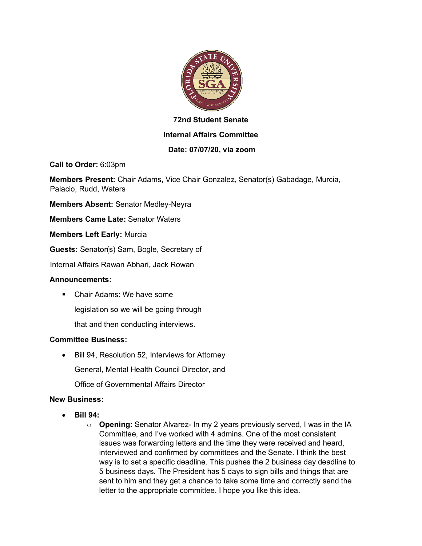

# **72nd Student Senate Internal Affairs Committee**

## **Date: 07/07/20, via zoom**

**Call to Order:** 6:03pm

**Members Present:** Chair Adams, Vice Chair Gonzalez, Senator(s) Gabadage, Murcia, Palacio, Rudd, Waters

**Members Absent:** Senator Medley-Neyra

**Members Came Late:** Senator Waters

**Members Left Early:** Murcia

**Guests:** Senator(s) Sam, Bogle, Secretary of

Internal Affairs Rawan Abhari, Jack Rowan

## **Announcements:**

■ Chair Adams: We have some

legislation so we will be going through

that and then conducting interviews.

## **Committee Business:**

• Bill 94, Resolution 52, Interviews for Attorney General, Mental Health Council Director, and

Office of Governmental Affairs Director

## **New Business:**

- **Bill 94:**
	- o **Opening:** Senator Alvarez- In my 2 years previously served, I was in the IA Committee, and I've worked with 4 admins. One of the most consistent issues was forwarding letters and the time they were received and heard, interviewed and confirmed by committees and the Senate. I think the best way is to set a specific deadline. This pushes the 2 business day deadline to 5 business days. The President has 5 days to sign bills and things that are sent to him and they get a chance to take some time and correctly send the letter to the appropriate committee. I hope you like this idea.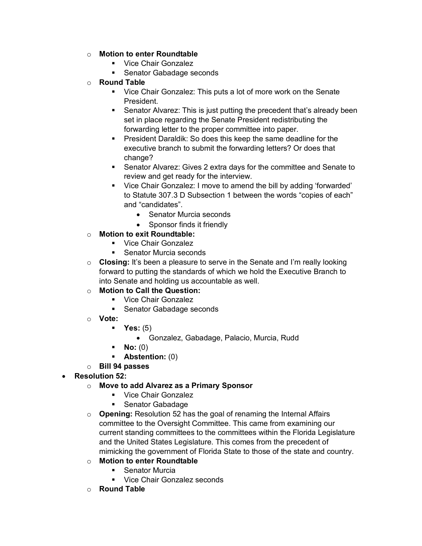- o **Motion to enter Roundtable**
	- Vice Chair Gonzalez
	- Senator Gabadage seconds
- o **Round Table**
	- Vice Chair Gonzalez: This puts a lot of more work on the Senate President.
	- Senator Alvarez: This is just putting the precedent that's already been set in place regarding the Senate President redistributing the forwarding letter to the proper committee into paper.
	- President Daraldik: So does this keep the same deadline for the executive branch to submit the forwarding letters? Or does that change?
	- Senator Alvarez: Gives 2 extra days for the committee and Senate to review and get ready for the interview.
	- § Vice Chair Gonzalez: I move to amend the bill by adding 'forwarded' to Statute 307.3 D Subsection 1 between the words "copies of each" and "candidates".
		- Senator Murcia seconds
		- Sponsor finds it friendly
- o **Motion to exit Roundtable:**
	- § Vice Chair Gonzalez
	- Senator Murcia seconds
- o **Closing:** It's been a pleasure to serve in the Senate and I'm really looking forward to putting the standards of which we hold the Executive Branch to into Senate and holding us accountable as well.
- o **Motion to Call the Question:**
	- § Vice Chair Gonzalez
	- Senator Gabadage seconds
- o **Vote:**
	- § **Yes:** (5)
		- Gonzalez, Gabadage, Palacio, Murcia, Rudd
	- § **No:** (0)
	- § **Abstention:** (0)
- o **Bill 94 passes**
- **Resolution 52:**
	- o **Move to add Alvarez as a Primary Sponsor**
		- Vice Chair Gonzalez
		- Senator Gabadage
	- o **Opening:** Resolution 52 has the goal of renaming the Internal Affairs committee to the Oversight Committee. This came from examining our current standing committees to the committees within the Florida Legislature and the United States Legislature. This comes from the precedent of mimicking the government of Florida State to those of the state and country.
	- o **Motion to enter Roundtable**
		- Senator Murcia
		- § Vice Chair Gonzalez seconds
	- o **Round Table**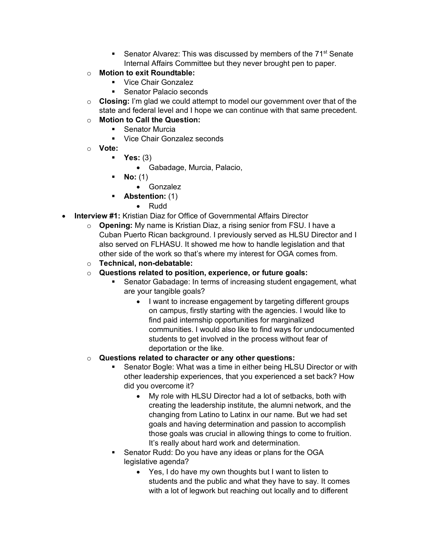- Senator Alvarez: This was discussed by members of the 71<sup>st</sup> Senate Internal Affairs Committee but they never brought pen to paper.
- o **Motion to exit Roundtable:**
	- § Vice Chair Gonzalez
	- Senator Palacio seconds
- o **Closing:** I'm glad we could attempt to model our government over that of the state and federal level and I hope we can continue with that same precedent.
- o **Motion to Call the Question:**
	- Senator Murcia
	- Vice Chair Gonzalez seconds
- o **Vote:**
	- § **Yes:** (3)
		- Gabadage, Murcia, Palacio,
	- § **No:** (1)
		- Gonzalez
	- § **Abstention:** (1)
		- Rudd
- **Interview #1:** Kristian Diaz for Office of Governmental Affairs Director
	- o **Opening:** My name is Kristian Diaz, a rising senior from FSU. I have a Cuban Puerto Rican background. I previously served as HLSU Director and I also served on FLHASU. It showed me how to handle legislation and that other side of the work so that's where my interest for OGA comes from.
	- o **Technical, non-debatable:**
	- o **Questions related to position, experience, or future goals:**
		- § Senator Gabadage: In terms of increasing student engagement, what are your tangible goals?
			- I want to increase engagement by targeting different groups on campus, firstly starting with the agencies. I would like to find paid internship opportunities for marginalized communities. I would also like to find ways for undocumented students to get involved in the process without fear of deportation or the like.
	- o **Questions related to character or any other questions:**
		- Senator Bogle: What was a time in either being HLSU Director or with other leadership experiences, that you experienced a set back? How did you overcome it?
			- My role with HLSU Director had a lot of setbacks, both with creating the leadership institute, the alumni network, and the changing from Latino to Latinx in our name. But we had set goals and having determination and passion to accomplish those goals was crucial in allowing things to come to fruition. It's really about hard work and determination.
		- Senator Rudd: Do you have any ideas or plans for the OGA legislative agenda?
			- Yes, I do have my own thoughts but I want to listen to students and the public and what they have to say. It comes with a lot of legwork but reaching out locally and to different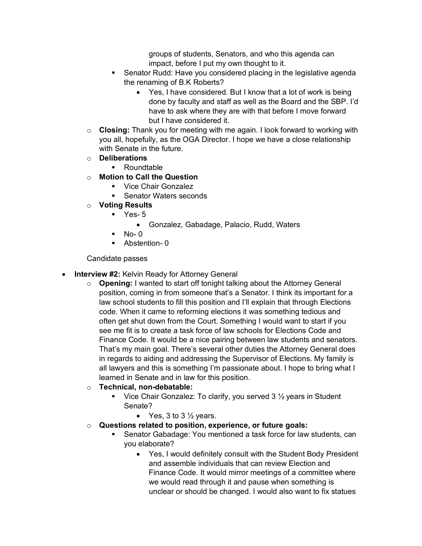groups of students, Senators, and who this agenda can impact, before I put my own thought to it.

- Senator Rudd: Have you considered placing in the legislative agenda the renaming of B.K Roberts?
	- Yes, I have considered. But I know that a lot of work is being done by faculty and staff as well as the Board and the SBP. I'd have to ask where they are with that before I move forward but I have considered it.
- o **Closing:** Thank you for meeting with me again. I look forward to working with you all, hopefully, as the OGA Director. I hope we have a close relationship with Senate in the future.
- o **Deliberations**
	- Roundtable
- o **Motion to Call the Question** 
	- Vice Chair Gonzalez
	- Senator Waters seconds
- o **Voting Results** 
	- $\blacksquare$  Yes- 5
		- Gonzalez, Gabadage, Palacio, Rudd, Waters
	- $\blacksquare$  No- 0
	- Abstention- 0

Candidate passes

- **Interview #2:** Kelvin Ready for Attorney General
	- o **Opening:** I wanted to start off tonight talking about the Attorney General position, coming in from someone that's a Senator. I think its important for a law school students to fill this position and I'll explain that through Elections code. When it came to reforming elections it was something tedious and often get shut down from the Court. Something I would want to start if you see me fit is to create a task force of law schools for Elections Code and Finance Code. It would be a nice pairing between law students and senators. That's my main goal. There's several other duties the Attorney General does in regards to aiding and addressing the Supervisor of Elections. My family is all lawyers and this is something I'm passionate about. I hope to bring what I learned in Senate and in law for this position.

## o **Technical, non-debatable:**

- Vice Chair Gonzalez: To clarify, you served  $3\frac{1}{2}$  years in Student Senate?
	- Yes,  $3$  to  $3\frac{1}{2}$  years.
- o **Questions related to position, experience, or future goals:**
	- § Senator Gabadage: You mentioned a task force for law students, can you elaborate?
		- Yes, I would definitely consult with the Student Body President and assemble individuals that can review Election and Finance Code. It would mirror meetings of a committee where we would read through it and pause when something is unclear or should be changed. I would also want to fix statues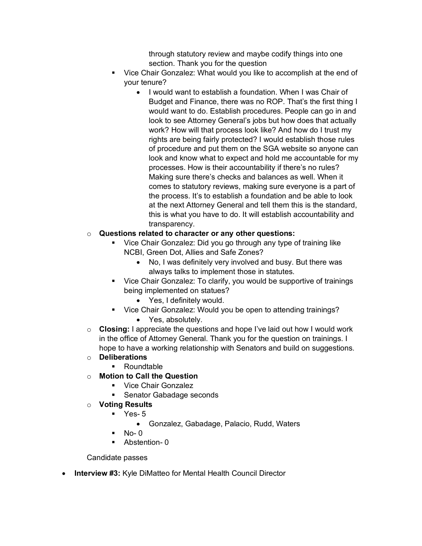through statutory review and maybe codify things into one section. Thank you for the question

- § Vice Chair Gonzalez: What would you like to accomplish at the end of your tenure?
	- I would want to establish a foundation. When I was Chair of Budget and Finance, there was no ROP. That's the first thing I would want to do. Establish procedures. People can go in and look to see Attorney General's jobs but how does that actually work? How will that process look like? And how do I trust my rights are being fairly protected? I would establish those rules of procedure and put them on the SGA website so anyone can look and know what to expect and hold me accountable for my processes. How is their accountability if there's no rules? Making sure there's checks and balances as well. When it comes to statutory reviews, making sure everyone is a part of the process. It's to establish a foundation and be able to look at the next Attorney General and tell them this is the standard, this is what you have to do. It will establish accountability and transparency.

## o **Questions related to character or any other questions:**

- Vice Chair Gonzalez: Did you go through any type of training like NCBI, Green Dot, Allies and Safe Zones?
	- No, I was definitely very involved and busy. But there was always talks to implement those in statutes.
- Vice Chair Gonzalez: To clarify, you would be supportive of trainings being implemented on statues?
	- Yes, I definitely would.
- Vice Chair Gonzalez: Would you be open to attending trainings?
	- Yes, absolutely.
- o **Closing:** I appreciate the questions and hope I've laid out how I would work in the office of Attorney General. Thank you for the question on trainings. I hope to have a working relationship with Senators and build on suggestions.
- o **Deliberations**
	- Roundtable
- o **Motion to Call the Question** 
	- Vice Chair Gonzalez
	- § Senator Gabadage seconds
- o **Voting Results** 
	- § Yes- 5
		- Gonzalez, Gabadage, Palacio, Rudd, Waters
	- $No-<sub>0</sub>$
	- § Abstention- 0

Candidate passes

• **Interview #3:** Kyle DiMatteo for Mental Health Council Director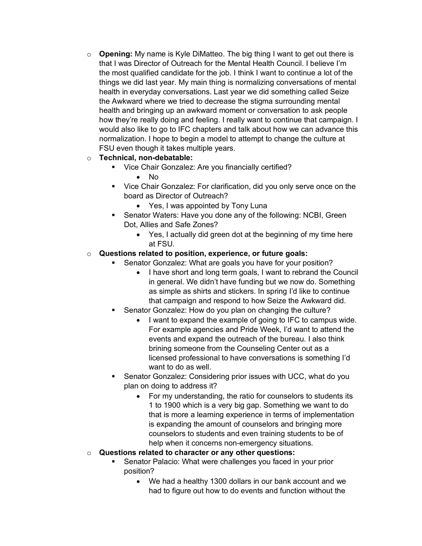o **Opening:** My name is Kyle DiMatteo. The big thing I want to get out there is that I was Director of Outreach for the Mental Health Council. I believe I'm the most qualified candidate for the job. I think I want to continue a lot of the things we did last year. My main thing is normalizing conversations of mental health in everyday conversations. Last year we did something called Seize the Awkward where we tried to decrease the stigma surrounding mental health and bringing up an awkward moment or conversation to ask people how they're really doing and feeling. I really want to continue that campaign. I would also like to go to IFC chapters and talk about how we can advance this normalization. I hope to begin a model to attempt to change the culture at FSU even though it takes multiple years.

## o **Technical, non-debatable:**

- § Vice Chair Gonzalez: Are you financially certified?
	- No
- Vice Chair Gonzalez: For clarification, did you only serve once on the board as Director of Outreach?
	- Yes, I was appointed by Tony Luna
- Senator Waters: Have you done any of the following: NCBI, Green Dot, Allies and Safe Zones?
	- Yes, I actually did green dot at the beginning of my time here at FSU.

## o **Questions related to position, experience, or future goals:**

- Senator Gonzalez: What are goals you have for your position?
	- I have short and long term goals, I want to rebrand the Council in general. We didn't have funding but we now do. Something as simple as shirts and stickers. In spring I'd like to continue that campaign and respond to how Seize the Awkward did.
- § Senator Gonzalez: How do you plan on changing the culture?
	- I want to expand the example of going to IFC to campus wide. For example agencies and Pride Week, I'd want to attend the events and expand the outreach of the bureau. I also think brining someone from the Counseling Center out as a licensed professional to have conversations is something I'd want to do as well.
- Senator Gonzalez: Considering prior issues with UCC, what do you plan on doing to address it?
	- For my understanding, the ratio for counselors to students its 1 to 1900 which is a very big gap. Something we want to do that is more a learning experience in terms of implementation is expanding the amount of counselors and bringing more counselors to students and even training students to be of help when it concerns non-emergency situations.

## o **Questions related to character or any other questions:**

- § Senator Palacio: What were challenges you faced in your prior position?
	- We had a healthy 1300 dollars in our bank account and we had to figure out how to do events and function without the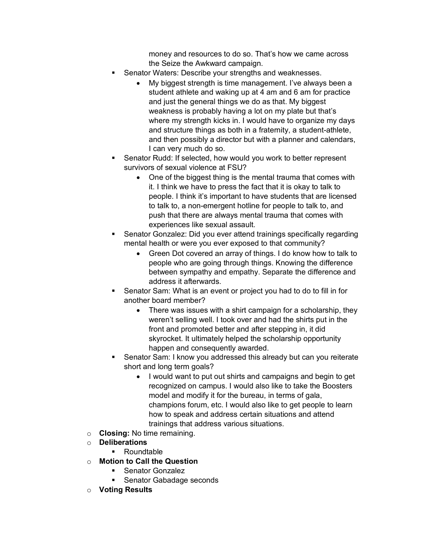money and resources to do so. That's how we came across the Seize the Awkward campaign.

- Senator Waters: Describe your strengths and weaknesses.
	- My biggest strength is time management. I've always been a student athlete and waking up at 4 am and 6 am for practice and just the general things we do as that. My biggest weakness is probably having a lot on my plate but that's where my strength kicks in. I would have to organize my days and structure things as both in a fraternity, a student-athlete, and then possibly a director but with a planner and calendars, I can very much do so.
- § Senator Rudd: If selected, how would you work to better represent survivors of sexual violence at FSU?
	- One of the biggest thing is the mental trauma that comes with it. I think we have to press the fact that it is okay to talk to people. I think it's important to have students that are licensed to talk to, a non-emergent hotline for people to talk to, and push that there are always mental trauma that comes with experiences like sexual assault.
- § Senator Gonzalez: Did you ever attend trainings specifically regarding mental health or were you ever exposed to that community?
	- Green Dot covered an array of things. I do know how to talk to people who are going through things. Knowing the difference between sympathy and empathy. Separate the difference and address it afterwards.
- § Senator Sam: What is an event or project you had to do to fill in for another board member?
	- There was issues with a shirt campaign for a scholarship, they weren't selling well. I took over and had the shirts put in the front and promoted better and after stepping in, it did skyrocket. It ultimately helped the scholarship opportunity happen and consequently awarded.
- Senator Sam: I know you addressed this already but can you reiterate short and long term goals?
	- I would want to put out shirts and campaigns and begin to get recognized on campus. I would also like to take the Boosters model and modify it for the bureau, in terms of gala, champions forum, etc. I would also like to get people to learn how to speak and address certain situations and attend trainings that address various situations.
- o **Closing:** No time remaining.
- o **Deliberations**
	- § Roundtable
- o **Motion to Call the Question** 
	- § Senator Gonzalez
	- § Senator Gabadage seconds
- o **Voting Results**